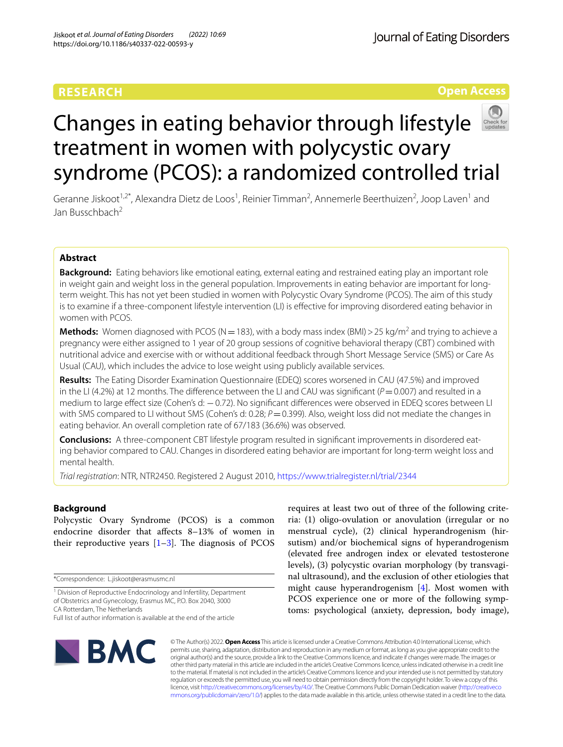## **RESEARCH**

**Open Access**

# Changes in eating behavior through lifestyle treatment in women with polycystic ovary syndrome (PCOS): a randomized controlled trial

Geranne Jiskoot<sup>1,2\*</sup>, Alexandra Dietz de Loos<sup>1</sup>, Reinier Timman<sup>2</sup>, Annemerle Beerthuizen<sup>2</sup>, Joop Laven<sup>1</sup> and Jan Busschbach<sup>2</sup>

## **Abstract**

**Background:** Eating behaviors like emotional eating, external eating and restrained eating play an important role in weight gain and weight loss in the general population. Improvements in eating behavior are important for longterm weight. This has not yet been studied in women with Polycystic Ovary Syndrome (PCOS). The aim of this study is to examine if a three-component lifestyle intervention (LI) is efective for improving disordered eating behavior in women with PCOS.

**Methods:** Women diagnosed with PCOS (N = 183), with a body mass index (BMI) > 25 kg/m<sup>2</sup> and trying to achieve a pregnancy were either assigned to 1 year of 20 group sessions of cognitive behavioral therapy (CBT) combined with nutritional advice and exercise with or without additional feedback through Short Message Service (SMS) or Care As Usual (CAU), which includes the advice to lose weight using publicly available services.

**Results:** The Eating Disorder Examination Questionnaire (EDEQ) scores worsened in CAU (47.5%) and improved in the LI (4.2%) at 12 months. The difference between the LI and CAU was significant ( $P=0.007$ ) and resulted in a medium to large efect size (Cohen's d: −0.72). No signifcant diferences were observed in EDEQ scores between LI with SMS compared to LI without SMS (Cohen's d: 0.28;  $P=0.399$ ). Also, weight loss did not mediate the changes in eating behavior. An overall completion rate of 67/183 (36.6%) was observed.

**Conclusions:** A three-component CBT lifestyle program resulted in signifcant improvements in disordered eating behavior compared to CAU. Changes in disordered eating behavior are important for long-term weight loss and mental health.

*Trial registration*: NTR, NTR2450. Registered 2 August 2010,<https://www.trialregister.nl/trial/2344>

## **Background**

Polycystic Ovary Syndrome (PCOS) is a common endocrine disorder that afects 8–13% of women in their reproductive years  $[1-3]$  $[1-3]$ . The diagnosis of PCOS

\*Correspondence: L.jiskoot@erasmusmc.nl

<sup>1</sup> Division of Reproductive Endocrinology and Infertility, Department of Obstetrics and Gynecology, Erasmus MC, P.O. Box 2040, 3000 CA Rotterdam, The Netherlands

Full list of author information is available at the end of the article

requires at least two out of three of the following criteria: (1) oligo-ovulation or anovulation (irregular or no menstrual cycle), (2) clinical hyperandrogenism (hirsutism) and/or biochemical signs of hyperandrogenism (elevated free androgen index or elevated testosterone levels), (3) polycystic ovarian morphology (by transvaginal ultrasound), and the exclusion of other etiologies that might cause hyperandrogenism [\[4\]](#page-9-2). Most women with PCOS experience one or more of the following symptoms: psychological (anxiety, depression, body image),



© The Author(s) 2022. **Open Access** This article is licensed under a Creative Commons Attribution 4.0 International License, which permits use, sharing, adaptation, distribution and reproduction in any medium or format, as long as you give appropriate credit to the original author(s) and the source, provide a link to the Creative Commons licence, and indicate if changes were made. The images or other third party material in this article are included in the article's Creative Commons licence, unless indicated otherwise in a credit line to the material. If material is not included in the article's Creative Commons licence and your intended use is not permitted by statutory regulation or exceeds the permitted use, you will need to obtain permission directly from the copyright holder. To view a copy of this licence, visit [http://creativecommons.org/licenses/by/4.0/.](http://creativecommons.org/licenses/by/4.0/) The Creative Commons Public Domain Dedication waiver ([http://creativeco](http://creativecommons.org/publicdomain/zero/1.0/) [mmons.org/publicdomain/zero/1.0/](http://creativecommons.org/publicdomain/zero/1.0/)) applies to the data made available in this article, unless otherwise stated in a credit line to the data.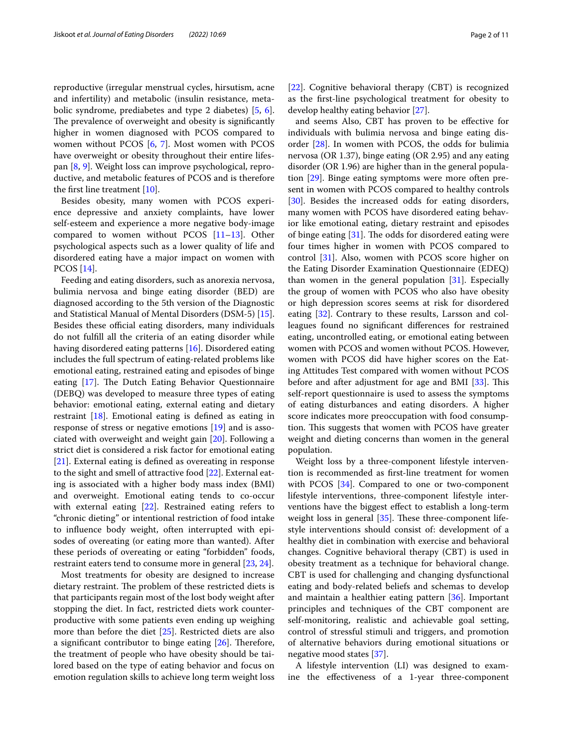reproductive (irregular menstrual cycles, hirsutism, acne and infertility) and metabolic (insulin resistance, metabolic syndrome, prediabetes and type 2 diabetes) [[5](#page-9-3), [6](#page-9-4)]. The prevalence of overweight and obesity is significantly higher in women diagnosed with PCOS compared to women without PCOS [[6,](#page-9-4) [7\]](#page-9-5). Most women with PCOS have overweight or obesity throughout their entire lifespan [[8,](#page-9-6) [9](#page-9-7)]. Weight loss can improve psychological, reproductive, and metabolic features of PCOS and is therefore the frst line treatment [[10\]](#page-9-8).

Besides obesity, many women with PCOS experience depressive and anxiety complaints, have lower self-esteem and experience a more negative body-image compared to women without PCOS  $[11-13]$  $[11-13]$  $[11-13]$ . Other psychological aspects such as a lower quality of life and disordered eating have a major impact on women with PCOS [[14](#page-9-11)].

Feeding and eating disorders, such as anorexia nervosa, bulimia nervosa and binge eating disorder (BED) are diagnosed according to the 5th version of the Diagnostic and Statistical Manual of Mental Disorders (DSM-5) [\[15](#page-9-12)]. Besides these official eating disorders, many individuals do not fulfll all the criteria of an eating disorder while having disordered eating patterns [[16](#page-9-13)]. Disordered eating includes the full spectrum of eating-related problems like emotional eating, restrained eating and episodes of binge eating  $[17]$  $[17]$  $[17]$ . The Dutch Eating Behavior Questionnaire (DEBQ) was developed to measure three types of eating behavior: emotional eating, external eating and dietary restraint [[18\]](#page-9-15). Emotional eating is defned as eating in response of stress or negative emotions [[19\]](#page-9-16) and is associated with overweight and weight gain [\[20\]](#page-9-17). Following a strict diet is considered a risk factor for emotional eating [[21\]](#page-9-18). External eating is defned as overeating in response to the sight and smell of attractive food [[22\]](#page-9-19). External eating is associated with a higher body mass index (BMI) and overweight. Emotional eating tends to co-occur with external eating [[22\]](#page-9-19). Restrained eating refers to "chronic dieting" or intentional restriction of food intake to infuence body weight, often interrupted with episodes of overeating (or eating more than wanted). After these periods of overeating or eating "forbidden" foods, restraint eaters tend to consume more in general [\[23,](#page-9-20) [24](#page-9-21)].

Most treatments for obesity are designed to increase dietary restraint. The problem of these restricted diets is that participants regain most of the lost body weight after stopping the diet. In fact, restricted diets work counterproductive with some patients even ending up weighing more than before the diet [[25](#page-9-22)]. Restricted diets are also a significant contributor to binge eating  $[26]$  $[26]$ . Therefore, the treatment of people who have obesity should be tailored based on the type of eating behavior and focus on emotion regulation skills to achieve long term weight loss [[22\]](#page-9-19). Cognitive behavioral therapy (CBT) is recognized as the frst-line psychological treatment for obesity to develop healthy eating behavior [\[27](#page-9-24)].

and seems Also, CBT has proven to be efective for individuals with bulimia nervosa and binge eating disorder [[28\]](#page-9-25). In women with PCOS, the odds for bulimia nervosa (OR 1.37), binge eating (OR 2.95) and any eating disorder (OR 1.96) are higher than in the general population [\[29\]](#page-9-26). Binge eating symptoms were more often present in women with PCOS compared to healthy controls [[30\]](#page-9-27). Besides the increased odds for eating disorders, many women with PCOS have disordered eating behavior like emotional eating, dietary restraint and episodes of binge eating  $[31]$  $[31]$  $[31]$ . The odds for disordered eating were four times higher in women with PCOS compared to control [[31](#page-9-28)]. Also, women with PCOS score higher on the Eating Disorder Examination Questionnaire (EDEQ) than women in the general population [\[31](#page-9-28)]. Especially the group of women with PCOS who also have obesity or high depression scores seems at risk for disordered eating [[32\]](#page-9-29). Contrary to these results, Larsson and colleagues found no signifcant diferences for restrained eating, uncontrolled eating, or emotional eating between women with PCOS and women without PCOS. However, women with PCOS did have higher scores on the Eating Attitudes Test compared with women without PCOS before and after adjustment for age and BMI [\[33](#page-9-30)]. This self-report questionnaire is used to assess the symptoms of eating disturbances and eating disorders. A higher score indicates more preoccupation with food consumption. This suggests that women with PCOS have greater weight and dieting concerns than women in the general population.

Weight loss by a three-component lifestyle intervention is recommended as frst-line treatment for women with PCOS [\[34](#page-9-31)]. Compared to one or two-component lifestyle interventions, three-component lifestyle interventions have the biggest efect to establish a long-term weight loss in general [[35\]](#page-9-32). These three-component lifestyle interventions should consist of: development of a healthy diet in combination with exercise and behavioral changes. Cognitive behavioral therapy (CBT) is used in obesity treatment as a technique for behavioral change. CBT is used for challenging and changing dysfunctional eating and body-related beliefs and schemas to develop and maintain a healthier eating pattern [\[36](#page-9-33)]. Important principles and techniques of the CBT component are self-monitoring, realistic and achievable goal setting, control of stressful stimuli and triggers, and promotion of alternative behaviors during emotional situations or negative mood states [[37\]](#page-9-34).

A lifestyle intervention (LI) was designed to examine the efectiveness of a 1-year three-component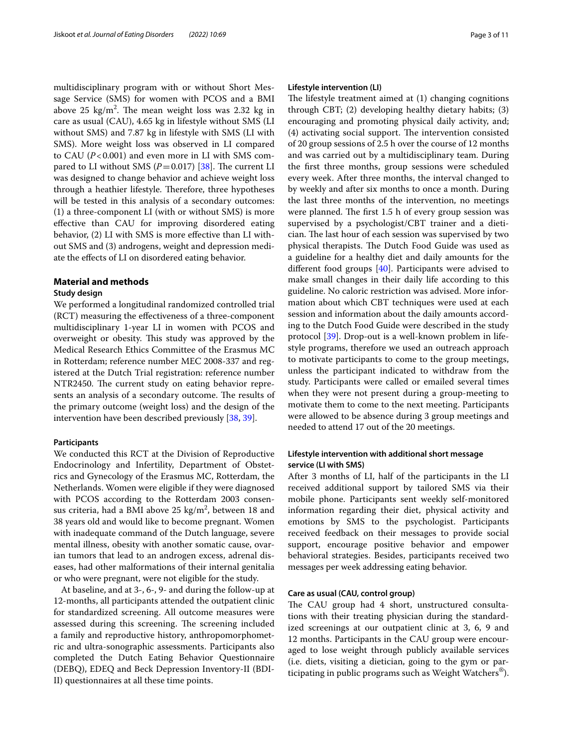multidisciplinary program with or without Short Message Service (SMS) for women with PCOS and a BMI above 25  $\text{kg/m}^2$ . The mean weight loss was 2.32 kg in care as usual (CAU), 4.65 kg in lifestyle without SMS (LI without SMS) and 7.87 kg in lifestyle with SMS (LI with SMS). More weight loss was observed in LI compared to CAU  $(P<0.001)$  and even more in LI with SMS compared to LI without SMS  $(P=0.017)$  [\[38](#page-9-35)]. The current LI was designed to change behavior and achieve weight loss through a heathier lifestyle. Therefore, three hypotheses will be tested in this analysis of a secondary outcomes: (1) a three-component LI (with or without SMS) is more efective than CAU for improving disordered eating behavior, (2) LI with SMS is more efective than LI without SMS and (3) androgens, weight and depression mediate the efects of LI on disordered eating behavior.

## **Material and methods**

#### **Study design**

We performed a longitudinal randomized controlled trial (RCT) measuring the efectiveness of a three-component multidisciplinary 1-year LI in women with PCOS and overweight or obesity. This study was approved by the Medical Research Ethics Committee of the Erasmus MC in Rotterdam; reference number MEC 2008-337 and registered at the Dutch Trial registration: reference number NTR2450. The current study on eating behavior represents an analysis of a secondary outcome. The results of the primary outcome (weight loss) and the design of the intervention have been described previously [\[38](#page-9-35), [39\]](#page-9-36).

## **Participants**

We conducted this RCT at the Division of Reproductive Endocrinology and Infertility, Department of Obstetrics and Gynecology of the Erasmus MC, Rotterdam, the Netherlands. Women were eligible if they were diagnosed with PCOS according to the Rotterdam 2003 consensus criteria, had a BMI above 25 kg/m<sup>2</sup>, between 18 and 38 years old and would like to become pregnant. Women with inadequate command of the Dutch language, severe mental illness, obesity with another somatic cause, ovarian tumors that lead to an androgen excess, adrenal diseases, had other malformations of their internal genitalia or who were pregnant, were not eligible for the study.

At baseline, and at 3-, 6-, 9- and during the follow-up at 12-months, all participants attended the outpatient clinic for standardized screening. All outcome measures were assessed during this screening. The screening included a family and reproductive history, anthropomorphometric and ultra-sonographic assessments. Participants also completed the Dutch Eating Behavior Questionnaire (DEBQ), EDEQ and Beck Depression Inventory-II (BDI-II) questionnaires at all these time points.

## **Lifestyle intervention (LI)**

The lifestyle treatment aimed at  $(1)$  changing cognitions through CBT; (2) developing healthy dietary habits; (3) encouraging and promoting physical daily activity, and; (4) activating social support. The intervention consisted of 20 group sessions of 2.5 h over the course of 12 months and was carried out by a multidisciplinary team. During the frst three months, group sessions were scheduled every week. After three months, the interval changed to by weekly and after six months to once a month. During the last three months of the intervention, no meetings were planned. The first  $1.5$  h of every group session was supervised by a psychologist/CBT trainer and a dietician. The last hour of each session was supervised by two physical therapists. The Dutch Food Guide was used as a guideline for a healthy diet and daily amounts for the diferent food groups [[40](#page-9-37)]. Participants were advised to make small changes in their daily life according to this guideline. No caloric restriction was advised. More information about which CBT techniques were used at each session and information about the daily amounts according to the Dutch Food Guide were described in the study protocol [[39](#page-9-36)]. Drop-out is a well-known problem in lifestyle programs, therefore we used an outreach approach to motivate participants to come to the group meetings, unless the participant indicated to withdraw from the study. Participants were called or emailed several times when they were not present during a group-meeting to motivate them to come to the next meeting. Participants were allowed to be absence during 3 group meetings and needed to attend 17 out of the 20 meetings.

## **Lifestyle intervention with additional short message service (LI with SMS)**

After 3 months of LI, half of the participants in the LI received additional support by tailored SMS via their mobile phone. Participants sent weekly self-monitored information regarding their diet, physical activity and emotions by SMS to the psychologist. Participants received feedback on their messages to provide social support, encourage positive behavior and empower behavioral strategies. Besides, participants received two messages per week addressing eating behavior.

## **Care as usual (CAU, control group)**

The CAU group had 4 short, unstructured consultations with their treating physician during the standardized screenings at our outpatient clinic at 3, 6, 9 and 12 months. Participants in the CAU group were encouraged to lose weight through publicly available services (i.e. diets, visiting a dietician, going to the gym or participating in public programs such as Weight Watchers®).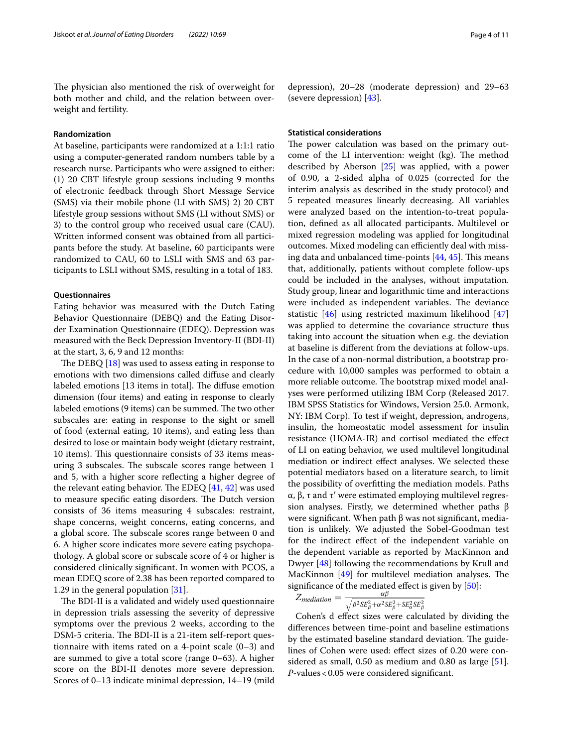The physician also mentioned the risk of overweight for both mother and child, and the relation between overweight and fertility.

#### **Randomization**

At baseline, participants were randomized at a 1:1:1 ratio using a computer-generated random numbers table by a research nurse. Participants who were assigned to either: (1) 20 CBT lifestyle group sessions including 9 months of electronic feedback through Short Message Service (SMS) via their mobile phone (LI with SMS) 2) 20 CBT lifestyle group sessions without SMS (LI without SMS) or 3) to the control group who received usual care (CAU). Written informed consent was obtained from all participants before the study. At baseline, 60 participants were randomized to CAU, 60 to LSLI with SMS and 63 participants to LSLI without SMS, resulting in a total of 183.

#### **Questionnaires**

Eating behavior was measured with the Dutch Eating Behavior Questionnaire (DEBQ) and the Eating Disorder Examination Questionnaire (EDEQ). Depression was measured with the Beck Depression Inventory-II (BDI-II) at the start, 3, 6, 9 and 12 months:

The DEBQ  $[18]$  $[18]$  was used to assess eating in response to emotions with two dimensions called difuse and clearly labeled emotions [13 items in total]. The diffuse emotion dimension (four items) and eating in response to clearly labeled emotions (9 items) can be summed. The two other subscales are: eating in response to the sight or smell of food (external eating, 10 items), and eating less than desired to lose or maintain body weight (dietary restraint, 10 items). This questionnaire consists of 33 items measuring 3 subscales. The subscale scores range between 1 and 5, with a higher score refecting a higher degree of the relevant eating behavior. The EDEQ  $[41, 42]$  $[41, 42]$  $[41, 42]$  $[41, 42]$  was used to measure specific eating disorders. The Dutch version consists of 36 items measuring 4 subscales: restraint, shape concerns, weight concerns, eating concerns, and a global score. The subscale scores range between 0 and 6. A higher score indicates more severe eating psychopathology. A global score or subscale score of 4 or higher is considered clinically signifcant. In women with PCOS, a mean EDEQ score of 2.38 has been reported compared to 1.29 in the general population [[31\]](#page-9-28).

The BDI-II is a validated and widely used questionnaire in depression trials assessing the severity of depressive symptoms over the previous 2 weeks, according to the DSM-5 criteria. The BDI-II is a 21-item self-report questionnaire with items rated on a 4-point scale (0–3) and are summed to give a total score (range 0–63). A higher score on the BDI-II denotes more severe depression. Scores of 0–13 indicate minimal depression, 14–19 (mild depression), 20–28 (moderate depression) and 29–63 (severe depression) [[43\]](#page-9-40).

## **Statistical considerations**

The power calculation was based on the primary outcome of the LI intervention: weight (kg). The method described by Aberson [\[25](#page-9-22)] was applied, with a power of 0.90, a 2-sided alpha of 0.025 (corrected for the interim analysis as described in the study protocol) and 5 repeated measures linearly decreasing. All variables were analyzed based on the intention-to-treat population, defned as all allocated participants. Multilevel or mixed regression modeling was applied for longitudinal outcomes. Mixed modeling can efficiently deal with missing data and unbalanced time-points  $[44, 45]$  $[44, 45]$  $[44, 45]$ . This means that, additionally, patients without complete follow-ups could be included in the analyses, without imputation. Study group, linear and logarithmic time and interactions were included as independent variables. The deviance statistic [[46\]](#page-9-43) using restricted maximum likelihood [[47](#page-9-44)] was applied to determine the covariance structure thus taking into account the situation when e.g. the deviation at baseline is diferent from the deviations at follow-ups. In the case of a non-normal distribution, a bootstrap procedure with 10,000 samples was performed to obtain a more reliable outcome. The bootstrap mixed model analyses were performed utilizing IBM Corp (Released 2017. IBM SPSS Statistics for Windows, Version 25.0. Armonk, NY: IBM Corp). To test if weight, depression, androgens, insulin, the homeostatic model assessment for insulin resistance (HOMA-IR) and cortisol mediated the efect of LI on eating behavior, we used multilevel longitudinal mediation or indirect efect analyses. We selected these potential mediators based on a literature search, to limit the possibility of overftting the mediation models. Paths α, β, τ and τ′ were estimated employing multilevel regression analyses. Firstly, we determined whether paths β were significant. When path  $β$  was not significant, mediation is unlikely. We adjusted the Sobel-Goodman test for the indirect efect of the independent variable on the dependent variable as reported by MacKinnon and Dwyer [[48\]](#page-10-0) following the recommendations by Krull and MacKinnon  $[49]$  $[49]$  $[49]$  for multilevel mediation analyses. The signifcance of the mediated efect is given by [\[50\]](#page-10-2):

$$
Z_{median} = \frac{\alpha \beta}{\sqrt{\beta^2 SE_{\beta}^2 + \alpha^2 SE_{\beta}^2 + SE_{\alpha}^2 SE_{\beta}^2}}
$$

Cohen's d efect sizes were calculated by dividing the diferences between time-point and baseline estimations by the estimated baseline standard deviation. The guidelines of Cohen were used: efect sizes of 0.20 were considered as small, 0.50 as medium and 0.80 as large [\[51](#page-10-3)]. *P*-values<0.05 were considered signifcant.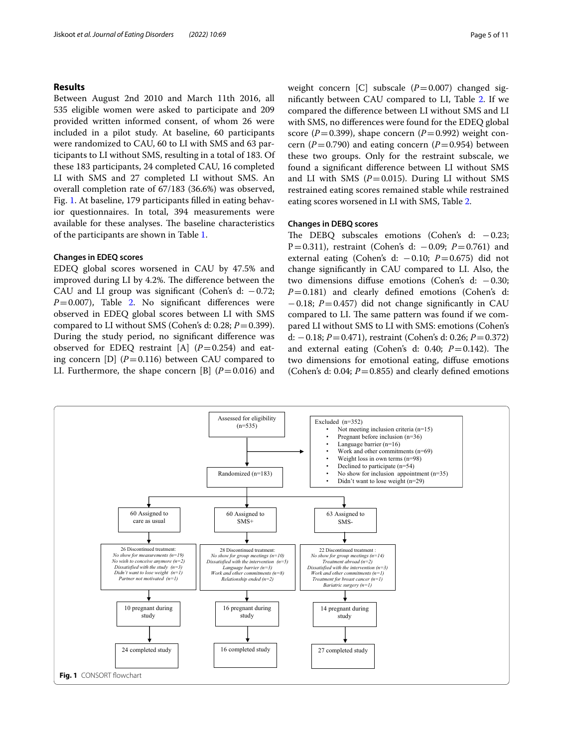## **Results**

Between August 2nd 2010 and March 11th 2016, all 535 eligible women were asked to participate and 209 provided written informed consent, of whom 26 were included in a pilot study. At baseline, 60 participants were randomized to CAU, 60 to LI with SMS and 63 participants to LI without SMS, resulting in a total of 183. Of these 183 participants, 24 completed CAU, 16 completed LI with SMS and 27 completed LI without SMS. An overall completion rate of 67/183 (36.6%) was observed, Fig. [1.](#page-4-0) At baseline, 179 participants flled in eating behavior questionnaires. In total, 394 measurements were available for these analyses. The baseline characteristics of the participants are shown in Table [1.](#page-5-0)

## **Changes in EDEQ scores**

EDEQ global scores worsened in CAU by 47.5% and improved during LI by 4.2%. The difference between the CAU and LI group was significant (Cohen's d:  $-0.72$ ;  $P=0.007$ ), Table [2](#page-6-0). No significant differences were observed in EDEQ global scores between LI with SMS compared to LI without SMS (Cohen's d: 0.28;  $P = 0.399$ ). During the study period, no signifcant diference was observed for EDEQ restraint  $[A]$   $(P=0.254)$  and eating concern [D]  $(P=0.116)$  between CAU compared to LI. Furthermore, the shape concern [B]  $(P=0.016)$  and weight concern [C] subscale  $(P=0.007)$  changed signifcantly between CAU compared to LI, Table [2](#page-6-0). If we compared the diference between LI without SMS and LI with SMS, no diferences were found for the EDEQ global score ( $P=0.399$ ), shape concern ( $P=0.992$ ) weight concern ( $P=0.790$ ) and eating concern ( $P=0.954$ ) between these two groups. Only for the restraint subscale, we found a signifcant diference between LI without SMS and LI with SMS  $(P=0.015)$ . During LI without SMS restrained eating scores remained stable while restrained eating scores worsened in LI with SMS, Table [2.](#page-6-0)

## **Changes in DEBQ scores**

The DEBQ subscales emotions (Cohen's d: −0.23; P=0.311), restraint (Cohen's d: −0.09; *P*=0.761) and external eating (Cohen's d: −0.10; *P*=0.675) did not change signifcantly in CAU compared to LI. Also, the two dimensions difuse emotions (Cohen's d: −0.30; *P*=0.181) and clearly defned emotions (Cohen's d: −0.18; *P*=0.457) did not change signifcantly in CAU compared to LI. The same pattern was found if we compared LI without SMS to LI with SMS: emotions (Cohen's d: −0.18; *P*=0.471), restraint (Cohen's d: 0.26; *P*=0.372) and external eating (Cohen's d: 0.40;  $P = 0.142$ ). The two dimensions for emotional eating, difuse emotions (Cohen's d: 0.04;  $P = 0.855$ ) and clearly defined emotions

<span id="page-4-0"></span>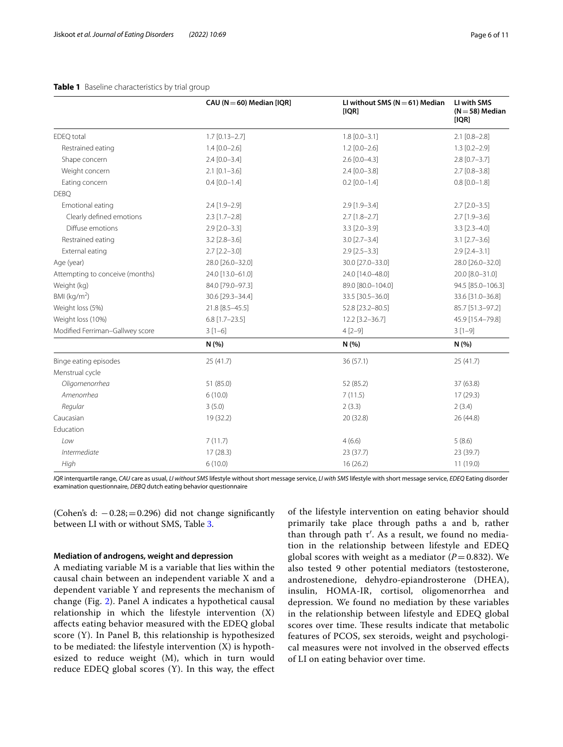|                                 | CAU ( $N = 60$ ) Median [IQR] | LI without SMS ( $N = 61$ ) Median<br>[IQR] | LI with SMS<br>$(N=58)$ Median<br>[IQR] |  |
|---------------------------------|-------------------------------|---------------------------------------------|-----------------------------------------|--|
| EDEQ total                      | $1.7$ [0.13-2.7]              | $1.8$ [0.0-3.1]                             | $2.1$ [0.8-2.8]                         |  |
| Restrained eating               | $1.4 [0.0 - 2.6]$             | $1.2$ [0.0-2.6]                             | $1.3$ [0.2-2.9]                         |  |
| Shape concern                   | $2.4$ [0.0-3.4]               | $2.6$ [0.0-4.3]                             | $2.8$ [0.7-3.7]                         |  |
| Weight concern                  | $2.1$ [0.1-3.6]               | $2.4 [0.0 - 3.8]$                           | $2.7$ [0.8-3.8]                         |  |
| Eating concern                  | $0.4$ [0.0-1.4]               | $0.2$ [0.0-1.4]                             | $0.8$ [0.0-1.8]                         |  |
| <b>DEBQ</b>                     |                               |                                             |                                         |  |
| Emotional eating                | $2.4$ [1.9-2.9]               | $2.9$ [1.9-3.4]                             | $2.7$ [ $2.0 - 3.5$ ]                   |  |
| Clearly defined emotions        | $2.3$ [1.7-2.8]               | $2.7$ [1.8-2.7]                             | $2.7$ [1.9-3.6]                         |  |
| Diffuse emotions                | $2.9$ [ $2.0 - 3.3$ ]         | $3.3$ [ $2.0 - 3.9$ ]                       | $3.3$ [2.3-4.0]                         |  |
| Restrained eating               | $3.2$ $[2.8 - 3.6]$           | $3.0$ $[2.7 - 3.4]$                         | $3.1$ $[2.7 - 3.6]$                     |  |
| External eating                 | $2.7$ [ $2.2 - 3.0$ ]         | $2.9$ [ $2.5 - 3.3$ ]                       | $2.9$ [ $2.4 - 3.1$ ]                   |  |
| Age (year)                      | 28.0 [26.0-32.0]              | 30.0 [27.0-33.0]                            | 28.0 [26.0-32.0]                        |  |
| Attempting to conceive (months) | 24.0 [13.0-61.0]              | 24.0 [14.0-48.0]                            | 20.0 [8.0-31.0]                         |  |
| Weight (kg)                     | 84.0 [79.0-97.3]              | 89.0 [80.0-104.0]                           | 94.5 [85.0-106.3]                       |  |
| BMI ( $kg/m2$ )                 | 30.6 [29.3-34.4]              | 33.5 [30.5-36.0]                            | 33.6 [31.0-36.8]                        |  |
| Weight loss (5%)                | 21.8 [8.5-45.5]               | 52.8 [23.2-80.5]                            | 85.7 [51.3-97.2]                        |  |
| Weight loss (10%)               | $6.8$ [1.7-23.5]              | 12.2 [3.2-36.7]                             | 45.9 [15.4-79.8]                        |  |
| Modified Ferriman-Gallwey score | $3[1-6]$                      | $4[2-9]$                                    | $3[1-9]$                                |  |
|                                 | N(%)                          | N(%)                                        | N(%)                                    |  |
| Binge eating episodes           | 25(41.7)                      | 36(57.1)                                    | 25(41.7)                                |  |
| Menstrual cycle                 |                               |                                             |                                         |  |
| Oligomenorrhea                  | 51 (85.0)                     | 52 (85.2)                                   | 37 (63.8)                               |  |
| Amenorrhea                      | 6(10.0)                       | 7(11.5)                                     | 17(29.3)                                |  |
| Regular                         | 3(5.0)                        | 2(3.3)                                      | 2(3.4)                                  |  |
| Caucasian                       | 19 (32.2)                     | 20 (32.8)                                   | 26 (44.8)                               |  |
| Education                       |                               |                                             |                                         |  |
| Low                             | 7(11.7)                       | 4(6.6)                                      | 5(8.6)                                  |  |
| Intermediate                    | 17(28.3)                      | 23 (37.7)                                   | 23 (39.7)                               |  |
| High                            | 6(10.0)                       | 16(26.2)                                    | 11(19.0)                                |  |

## <span id="page-5-0"></span>**Table 1** Baseline characteristics by trial group

*IQR* interquartile range, *CAU* care as usual, *LI without SMS* lifestyle without short message service, *LI with SMS* lifestyle with short message service, *EDEQ* Eating disorder examination questionnaire, *DEBQ* dutch eating behavior questionnaire

(Cohen's d:  $-0.28$ ;  $= 0.296$ ) did not change significantly between LI with or without SMS, Table [3](#page-7-0).

## **Mediation of androgens, weight and depression**

A mediating variable M is a variable that lies within the causal chain between an independent variable X and a dependent variable Y and represents the mechanism of change (Fig. [2](#page-7-1)). Panel A indicates a hypothetical causal relationship in which the lifestyle intervention (X) afects eating behavior measured with the EDEQ global score (Y). In Panel B, this relationship is hypothesized to be mediated: the lifestyle intervention (X) is hypothesized to reduce weight (M), which in turn would reduce EDEQ global scores (Y). In this way, the efect of the lifestyle intervention on eating behavior should primarily take place through paths a and b, rather than through path  $τ'$ . As a result, we found no mediation in the relationship between lifestyle and EDEQ global scores with weight as a mediator  $(P=0.832)$ . We also tested 9 other potential mediators (testosterone, androstenedione, dehydro-epiandrosterone (DHEA), insulin, HOMA-IR, cortisol, oligomenorrhea and depression. We found no mediation by these variables in the relationship between lifestyle and EDEQ global scores over time. These results indicate that metabolic features of PCOS, sex steroids, weight and psychological measures were not involved in the observed efects of LI on eating behavior over time.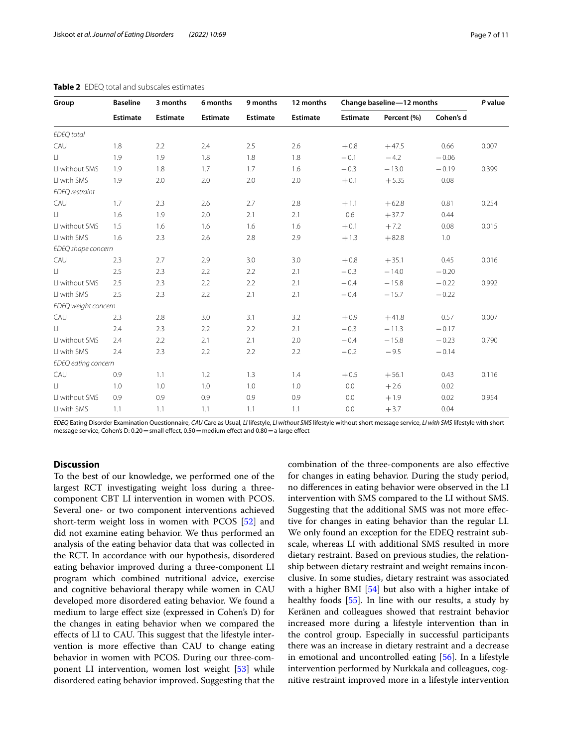| Group                 | <b>Baseline</b> | 3 months<br>Estimate | 6 months<br><b>Estimate</b> | 9 months<br><b>Estimate</b> | 12 months<br>Estimate | Change baseline-12 months |             |           | P value |
|-----------------------|-----------------|----------------------|-----------------------------|-----------------------------|-----------------------|---------------------------|-------------|-----------|---------|
|                       | <b>Estimate</b> |                      |                             |                             |                       | Estimate                  | Percent (%) | Cohen's d |         |
| <b>EDEQ</b> total     |                 |                      |                             |                             |                       |                           |             |           |         |
| CAU                   | 1.8             | 2.2                  | 2.4                         | 2.5                         | 2.6                   | $+0.8$                    | $+47.5$     | 0.66      | 0.007   |
| LI.                   | 1.9             | 1.9                  | 1.8                         | 1.8                         | 1.8                   | $-0.1$                    | $-4.2$      | $-0.06$   |         |
| LI without SMS        | 1.9             | 1.8                  | 1.7                         | 1.7                         | 1.6                   | $-0.3$                    | $-13.0$     | $-0.19$   | 0.399   |
| LI with SMS           | 1.9             | 2.0                  | 2.0                         | 2.0                         | 2.0                   | $+0.1$                    | $+5.35$     | 0.08      |         |
| <b>EDEQ</b> restraint |                 |                      |                             |                             |                       |                           |             |           |         |
| CAU                   | 1.7             | 2.3                  | 2.6                         | 2.7                         | 2.8                   | $+1.1$                    | $+62.8$     | 0.81      | 0.254   |
| LI.                   | 1.6             | 1.9                  | 2.0                         | 2.1                         | 2.1                   | 0.6                       | $+37.7$     | 0.44      |         |
| LI without SMS        | 1.5             | 1.6                  | 1.6                         | 1.6                         | 1.6                   | $+0.1$                    | $+7.2$      | 0.08      | 0.015   |
| LI with SMS           | 1.6             | 2.3                  | 2.6                         | 2.8                         | 2.9                   | $+1.3$                    | $+82.8$     | 1.0       |         |
| EDEQ shape concern    |                 |                      |                             |                             |                       |                           |             |           |         |
| CAU                   | 2.3             | 2.7                  | 2.9                         | 3.0                         | 3.0                   | $+0.8$                    | $+35.1$     | 0.45      | 0.016   |
| $\Box$                | 2.5             | 2.3                  | 2.2                         | 2.2                         | 2.1                   | $-0.3$                    | $-14.0$     | $-0.20$   |         |
| LI without SMS        | 2.5             | 2.3                  | 2.2                         | 2.2                         | 2.1                   | $-0.4$                    | $-15.8$     | $-0.22$   | 0.992   |
| LI with SMS           | 2.5             | 2.3                  | 2.2                         | 2.1                         | 2.1                   | $-0.4$                    | $-15.7$     | $-0.22$   |         |
| EDEQ weight concern   |                 |                      |                             |                             |                       |                           |             |           |         |
| CAU                   | 2.3             | 2.8                  | 3.0                         | 3.1                         | 3.2                   | $+0.9$                    | $+41.8$     | 0.57      | 0.007   |
| $\Box$                | 2.4             | 2.3                  | 2.2                         | 2.2                         | 2.1                   | $-0.3$                    | $-11.3$     | $-0.17$   |         |
| LI without SMS        | 2.4             | 2.2                  | 2.1                         | 2.1                         | 2.0                   | $-0.4$                    | $-15.8$     | $-0.23$   | 0.790   |
| LI with SMS           | 2.4             | 2.3                  | 2.2                         | 2.2                         | 2.2                   | $-0.2$                    | $-9.5$      | $-0.14$   |         |
| EDEQ eating concern   |                 |                      |                             |                             |                       |                           |             |           |         |
| CAU                   | 0.9             | 1.1                  | 1.2                         | 1.3                         | 1.4                   | $+0.5$                    | $+56.1$     | 0.43      | 0.116   |
| $\sqcup$              | 1.0             | 1.0                  | 1.0                         | 1.0                         | 1.0                   | 0.0                       | $+2.6$      | 0.02      |         |
| LI without SMS        | 0.9             | 0.9                  | 0.9                         | 0.9                         | 0.9                   | 0.0                       | $+1.9$      | 0.02      | 0.954   |
| LI with SMS           | 1.1             | 1.1                  | 1.1                         | 1.1                         | 1.1                   | 0.0                       | $+3.7$      | 0.04      |         |

### <span id="page-6-0"></span>**Table 2** EDEQ total and subscales estimates

*EDEQ* Eating Disorder Examination Questionnaire, *CAU* Care as Usual, *LI* lifestyle, *LI without SMS* lifestyle without short message service, *LI with SMS* lifestyle with short message service, Cohen's D: 0.20 = small effect, 0.50 = medium effect and 0.80 = a large effect

## **Discussion**

To the best of our knowledge, we performed one of the largest RCT investigating weight loss during a threecomponent CBT LI intervention in women with PCOS. Several one- or two component interventions achieved short-term weight loss in women with PCOS [\[52\]](#page-10-4) and did not examine eating behavior. We thus performed an analysis of the eating behavior data that was collected in the RCT. In accordance with our hypothesis, disordered eating behavior improved during a three-component LI program which combined nutritional advice, exercise and cognitive behavioral therapy while women in CAU developed more disordered eating behavior. We found a medium to large efect size (expressed in Cohen's D) for the changes in eating behavior when we compared the effects of LI to CAU. This suggest that the lifestyle intervention is more efective than CAU to change eating behavior in women with PCOS. During our three-component LI intervention, women lost weight [[53\]](#page-10-5) while disordered eating behavior improved. Suggesting that the combination of the three-components are also efective for changes in eating behavior. During the study period, no diferences in eating behavior were observed in the LI intervention with SMS compared to the LI without SMS. Suggesting that the additional SMS was not more efective for changes in eating behavior than the regular LI. We only found an exception for the EDEQ restraint subscale, whereas LI with additional SMS resulted in more dietary restraint. Based on previous studies, the relationship between dietary restraint and weight remains inconclusive. In some studies, dietary restraint was associated with a higher BMI [\[54](#page-10-6)] but also with a higher intake of healthy foods [[55](#page-10-7)]. In line with our results, a study by Keränen and colleagues showed that restraint behavior increased more during a lifestyle intervention than in the control group. Especially in successful participants there was an increase in dietary restraint and a decrease in emotional and uncontrolled eating [\[56](#page-10-8)]. In a lifestyle intervention performed by Nurkkala and colleagues, cognitive restraint improved more in a lifestyle intervention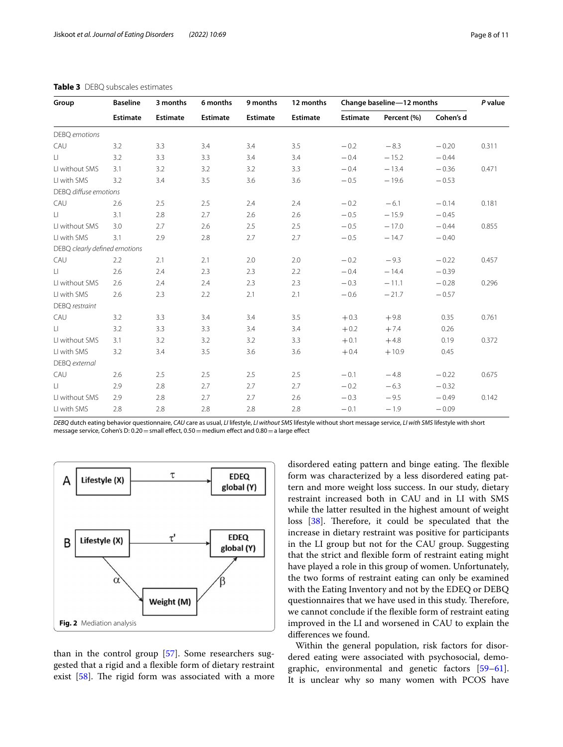| Group                         | <b>Baseline</b> | 3 months        | 6 months        | 9 months        | 12 months       | Change baseline-12 months |             |           | P value |
|-------------------------------|-----------------|-----------------|-----------------|-----------------|-----------------|---------------------------|-------------|-----------|---------|
|                               | <b>Estimate</b> | <b>Estimate</b> | <b>Estimate</b> | <b>Estimate</b> | <b>Estimate</b> | <b>Estimate</b>           | Percent (%) | Cohen's d |         |
| DEBQ emotions                 |                 |                 |                 |                 |                 |                           |             |           |         |
| CAU                           | 3.2             | 3.3             | 3.4             | 3.4             | 3.5             | $-0.2$                    | $-8.3$      | $-0.20$   | 0.311   |
| $\Box$                        | 3.2             | 3.3             | 3.3             | 3.4             | 3.4             | $-0.4$                    | $-15.2$     | $-0.44$   |         |
| LI without SMS                | 3.1             | 3.2             | 3.2             | 3.2             | 3.3             | $-0.4$                    | $-13.4$     | $-0.36$   | 0.471   |
| LI with SMS                   | 3.2             | 3.4             | 3.5             | 3.6             | 3.6             | $-0.5$                    | $-19.6$     | $-0.53$   |         |
| DEBQ diffuse emotions         |                 |                 |                 |                 |                 |                           |             |           |         |
| CAU                           | 2.6             | 2.5             | 2.5             | 2.4             | 2.4             | $-0.2$                    | $-6.1$      | $-0.14$   | 0.181   |
| LI.                           | 3.1             | 2.8             | 2.7             | 2.6             | 2.6             | $-0.5$                    | $-15.9$     | $-0.45$   |         |
| LI without SMS                | 3.0             | 2.7             | 2.6             | 2.5             | 2.5             | $-0.5$                    | $-17.0$     | $-0.44$   | 0.855   |
| LI with SMS                   | 3.1             | 2.9             | 2.8             | 2.7             | 2.7             | $-0.5$                    | $-14.7$     | $-0.40$   |         |
| DEBQ clearly defined emotions |                 |                 |                 |                 |                 |                           |             |           |         |
| CAU                           | 2.2             | 2.1             | 2.1             | 2.0             | 2.0             | $-0.2$                    | $-9.3$      | $-0.22$   | 0.457   |
| $\Box$                        | 2.6             | 2.4             | 2.3             | 2.3             | 2.2             | $-0.4$                    | $-14.4$     | $-0.39$   |         |
| LI without SMS                | 2.6             | 2.4             | 2.4             | 2.3             | 2.3             | $-0.3$                    | $-11.1$     | $-0.28$   | 0.296   |
| LI with SMS                   | 2.6             | 2.3             | 2.2             | 2.1             | 2.1             | $-0.6$                    | $-21.7$     | $-0.57$   |         |
| DEBQ restraint                |                 |                 |                 |                 |                 |                           |             |           |         |
| CAU                           | 3.2             | 3.3             | 3.4             | 3.4             | 3.5             | $+0.3$                    | $+9.8$      | 0.35      | 0.761   |
| $\Box$                        | 3.2             | 3.3             | 3.3             | 3.4             | 3.4             | $+0.2$                    | $+7.4$      | 0.26      |         |
| LI without SMS                | 3.1             | 3.2             | 3.2             | 3.2             | 3.3             | $+0.1$                    | $+4.8$      | 0.19      | 0.372   |
| LI with SMS                   | 3.2             | 3.4             | 3.5             | 3.6             | 3.6             | $+0.4$                    | $+10.9$     | 0.45      |         |
| DEBQ external                 |                 |                 |                 |                 |                 |                           |             |           |         |
| CAU                           | 2.6             | 2.5             | 2.5             | 2.5             | 2.5             | $-0.1$                    | $-4.8$      | $-0.22$   | 0.675   |
| LL.                           | 2.9             | 2.8             | 2.7             | 2.7             | 2.7             | $-0.2$                    | $-6.3$      | $-0.32$   |         |
| LI without SMS                | 2.9             | 2.8             | 2.7             | 2.7             | 2.6             | $-0.3$                    | $-9.5$      | $-0.49$   | 0.142   |
| LI with SMS                   | 2.8             | 2.8             | 2.8             | 2.8             | 2.8             | $-0.1$                    | $-1.9$      | $-0.09$   |         |

## <span id="page-7-0"></span>**Table 3** DEBQ subscales estimates

*DEBQ* dutch eating behavior questionnaire, *CAU* care as usual, *LI* lifestyle, *LI without SMS* lifestyle without short message service, *LI with SMS* lifestyle with short message service, Cohen's D: 0.20 = small effect, 0.50 = medium effect and 0.80 = a large effect



<span id="page-7-1"></span>than in the control group [\[57](#page-10-9)]. Some researchers suggested that a rigid and a fexible form of dietary restraint exist  $[58]$  $[58]$ . The rigid form was associated with a more disordered eating pattern and binge eating. The flexible form was characterized by a less disordered eating pattern and more weight loss success. In our study, dietary restraint increased both in CAU and in LI with SMS while the latter resulted in the highest amount of weight loss  $[38]$ . Therefore, it could be speculated that the increase in dietary restraint was positive for participants in the LI group but not for the CAU group. Suggesting that the strict and fexible form of restraint eating might have played a role in this group of women. Unfortunately, the two forms of restraint eating can only be examined with the Eating Inventory and not by the EDEQ or DEBQ questionnaires that we have used in this study. Therefore, we cannot conclude if the fexible form of restraint eating improved in the LI and worsened in CAU to explain the diferences we found.

Within the general population, risk factors for disordered eating were associated with psychosocial, demographic, environmental and genetic factors [[59](#page-10-11)[–61](#page-10-12)]. It is unclear why so many women with PCOS have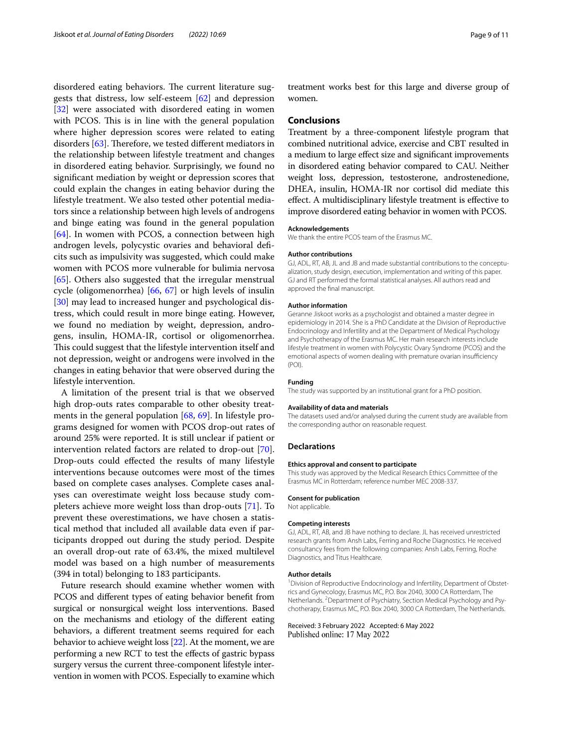disordered eating behaviors. The current literature suggests that distress, low self-esteem [\[62](#page-10-13)] and depression [[32\]](#page-9-29) were associated with disordered eating in women with PCOS. This is in line with the general population where higher depression scores were related to eating disorders  $[63]$ . Therefore, we tested different mediators in the relationship between lifestyle treatment and changes in disordered eating behavior. Surprisingly, we found no signifcant mediation by weight or depression scores that could explain the changes in eating behavior during the lifestyle treatment. We also tested other potential mediators since a relationship between high levels of androgens and binge eating was found in the general population [[64\]](#page-10-15). In women with PCOS, a connection between high androgen levels, polycystic ovaries and behavioral defcits such as impulsivity was suggested, which could make women with PCOS more vulnerable for bulimia nervosa [[65\]](#page-10-16). Others also suggested that the irregular menstrual cycle (oligomenorrhea) [\[66,](#page-10-17) [67](#page-10-18)] or high levels of insulin [[30\]](#page-9-27) may lead to increased hunger and psychological distress, which could result in more binge eating. However, we found no mediation by weight, depression, androgens, insulin, HOMA-IR, cortisol or oligomenorrhea. This could suggest that the lifestyle intervention itself and not depression, weight or androgens were involved in the changes in eating behavior that were observed during the lifestyle intervention.

A limitation of the present trial is that we observed high drop-outs rates comparable to other obesity treatments in the general population [[68](#page-10-19), [69](#page-10-20)]. In lifestyle programs designed for women with PCOS drop-out rates of around 25% were reported. It is still unclear if patient or intervention related factors are related to drop-out [\[70](#page-10-21)]. Drop-outs could efected the results of many lifestyle interventions because outcomes were most of the times based on complete cases analyses. Complete cases analyses can overestimate weight loss because study completers achieve more weight loss than drop-outs [[71\]](#page-10-22). To prevent these overestimations, we have chosen a statistical method that included all available data even if participants dropped out during the study period. Despite an overall drop-out rate of 63.4%, the mixed multilevel model was based on a high number of measurements (394 in total) belonging to 183 participants.

Future research should examine whether women with PCOS and diferent types of eating behavior beneft from surgical or nonsurgical weight loss interventions. Based on the mechanisms and etiology of the diferent eating behaviors, a diferent treatment seems required for each behavior to achieve weight loss [[22](#page-9-19)]. At the moment, we are performing a new RCT to test the efects of gastric bypass surgery versus the current three-component lifestyle intervention in women with PCOS. Especially to examine which

treatment works best for this large and diverse group of women.

## **Conclusions**

Treatment by a three-component lifestyle program that combined nutritional advice, exercise and CBT resulted in a medium to large efect size and signifcant improvements in disordered eating behavior compared to CAU. Neither weight loss, depression, testosterone, androstenedione, DHEA, insulin, HOMA-IR nor cortisol did mediate this efect. A multidisciplinary lifestyle treatment is efective to improve disordered eating behavior in women with PCOS.

#### **Acknowledgements**

We thank the entire PCOS team of the Erasmus MC.

#### **Author contributions**

GJ, ADL, RT, AB, JL and JB and made substantial contributions to the conceptualization, study design, execution, implementation and writing of this paper. GJ and RT performed the formal statistical analyses. All authors read and approved the fnal manuscript.

#### **Author information**

Geranne Jiskoot works as a psychologist and obtained a master degree in epidemiology in 2014. She is a PhD Candidate at the Division of Reproductive Endocrinology and Infertility and at the Department of Medical Psychology and Psychotherapy of the Erasmus MC. Her main research interests include lifestyle treatment in women with Polycystic Ovary Syndrome (PCOS) and the emotional aspects of women dealing with premature ovarian insufficiency (POI).

#### **Funding**

The study was supported by an institutional grant for a PhD position.

#### **Availability of data and materials**

The datasets used and/or analysed during the current study are available from the corresponding author on reasonable request.

#### **Declarations**

#### **Ethics approval and consent to participate**

This study was approved by the Medical Research Ethics Committee of the Erasmus MC in Rotterdam; reference number MEC 2008-337.

## **Consent for publication**

Not applicable.

## **Competing interests**

GJ, ADL, RT, AB, and JB have nothing to declare. JL has received unrestricted research grants from Ansh Labs, Ferring and Roche Diagnostics. He received consultancy fees from the following companies: Ansh Labs, Ferring, Roche Diagnostics, and Titus Healthcare.

#### **Author details**

<sup>1</sup> Division of Reproductive Endocrinology and Infertility, Department of Obstetrics and Gynecology, Erasmus MC, P.O. Box 2040, 3000 CA Rotterdam, The Netherlands. <sup>2</sup> Department of Psychiatry, Section Medical Psychology and Psychotherapy, Erasmus MC, P.O. Box 2040, 3000 CA Rotterdam, The Netherlands.

Received: 3 February 2022 Accepted: 6 May 2022Published online: 17 May 2022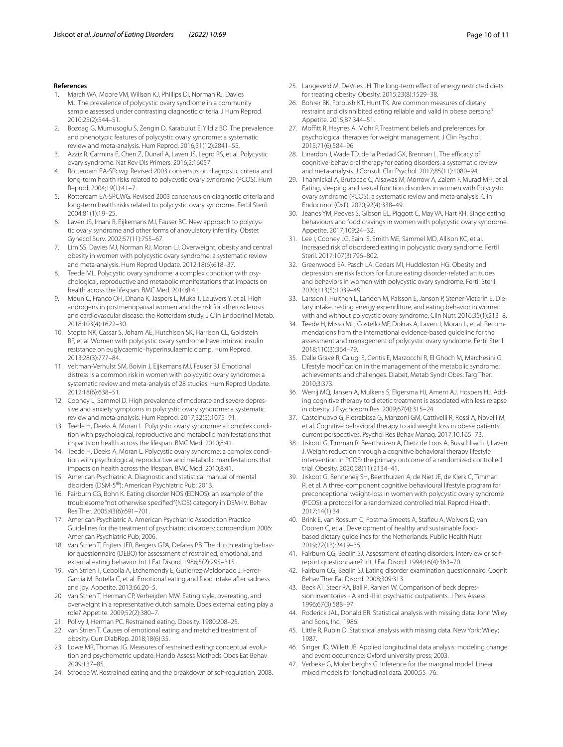#### **References**

- <span id="page-9-0"></span>1. March WA, Moore VM, Willson KJ, Phillips DI, Norman RJ, Davies MJ. The prevalence of polycystic ovary syndrome in a community sample assessed under contrasting diagnostic criteria. J Hum Reprod. 2010;25(2):544–51.
- 2. Bozdag G, Mumusoglu S, Zengin D, Karabulut E, Yildiz BO. The prevalence and phenotypic features of polycystic ovary syndrome: a systematic review and meta-analysis. Hum Reprod. 2016;31(12):2841–55.
- <span id="page-9-1"></span>Azziz R, Carmina E, Chen Z, Dunaif A, Laven JS, Legro RS, et al. Polycystic ovary syndrome. Nat Rev Dis Primers. 2016;2:16057.
- <span id="page-9-2"></span>4. Rotterdam EA-SPcwg. Revised 2003 consensus on diagnostic criteria and long-term health risks related to polycystic ovary syndrome (PCOS). Hum Reprod. 2004;19(1):41–7.
- <span id="page-9-3"></span>5. Rotterdam EA-SPCWG. Revised 2003 consensus on diagnostic criteria and long-term health risks related to polycystic ovary syndrome. Fertil Steril. 2004;81(1):19–25.
- <span id="page-9-4"></span>6. Laven JS, Imani B, Eijkemans MJ, Fauser BC. New approach to polycystic ovary syndrome and other forms of anovulatory infertility. Obstet Gynecol Surv. 2002;57(11):755–67.
- <span id="page-9-5"></span>7. Lim SS, Davies MJ, Norman RJ, Moran LJ. Overweight, obesity and central obesity in women with polycystic ovary syndrome: a systematic review and meta-analysis. Hum Reprod Update. 2012;18(6):618–37.
- <span id="page-9-6"></span>8. Teede ML. Polycystic ovary syndrome: a complex condition with psychological, reproductive and metabolic manifestations that impacts on health across the lifespan. BMC Med. 2010;8:41.
- <span id="page-9-7"></span>9. Meun C, Franco OH, Dhana K, Jaspers L, Muka T, Louwers Y, et al. High androgens in postmenopausal women and the risk for atherosclerosis and cardiovascular disease: the Rotterdam study. J Clin Endocrinol Metab. 2018;103(4):1622–30.
- <span id="page-9-8"></span>10. Stepto NK, Cassar S, Joham AE, Hutchison SK, Harrison CL, Goldstein RF, et al. Women with polycystic ovary syndrome have intrinsic insulin resistance on euglycaemic–hyperinsulaemic clamp. Hum Reprod. 2013;28(3):777–84.
- <span id="page-9-9"></span>11. Veltman-Verhulst SM, Boivin J, Eijkemans MJ, Fauser BJ. Emotional distress is a common risk in women with polycystic ovary syndrome: a systematic review and meta-analysis of 28 studies. Hum Reprod Update. 2012;18(6):638–51.
- 12. Cooney L, Sammel D. High prevalence of moderate and severe depressive and anxiety symptoms in polycystic ovary syndrome: a systematic review and meta-analysis. Hum Reprod. 2017;32(5):1075–91.
- <span id="page-9-10"></span>13. Teede H, Deeks A, Moran L. Polycystic ovary syndrome: a complex condition with psychological, reproductive and metabolic manifestations that impacts on health across the lifespan. BMC Med. 2010;8:41.
- <span id="page-9-11"></span>14. Teede H, Deeks A, Moran L. Polycystic ovary syndrome: a complex condition with psychological, reproductive and metabolic manifestations that impacts on health across the lifespan. BMC Med. 2010;8:41.
- <span id="page-9-12"></span>15. American Psychiatric A. Diagnostic and statistical manual of mental disorders (DSM-5®): American Psychiatric Pub; 2013.
- <span id="page-9-13"></span>16. Fairburn CG, Bohn K. Eating disorder NOS (EDNOS): an example of the troublesome "not otherwise specifed"(NOS) category in DSM-IV. Behav Res Ther. 2005;43(6):691–701.
- <span id="page-9-14"></span>17. American Psychiatric A. American Psychiatric Association Practice Guidelines for the treatment of psychiatric disorders: compendium 2006: American Psychiatric Pub; 2006.
- <span id="page-9-15"></span>18. Van Strien T, Frijters JER, Bergers GPA, Defares PB. The dutch eating behavior questionnaire (DEBQ) for assessment of restrained, emotional, and external eating behavior. Int J Eat Disord. 1986;5(2):295–315.
- <span id="page-9-16"></span>19. van Strien T, Cebolla A, Etchemendy E, Gutierrez-Maldonado J, Ferrer-Garcia M, Botella C, et al. Emotional eating and food intake after sadness and joy. Appetite. 2013;66:20–5.
- <span id="page-9-17"></span>20. Van Strien T, Herman CP, Verheijden MW. Eating style, overeating, and overweight in a representative dutch sample. Does external eating play a role? Appetite. 2009;52(2):380–7.
- <span id="page-9-18"></span>21. Polivy J, Herman PC. Restrained eating. Obesity. 1980:208–25.
- <span id="page-9-19"></span>22. van Strien T. Causes of emotional eating and matched treatment of obesity. Curr DiabRep. 2018;18(6):35.
- <span id="page-9-20"></span>23. Lowe MR, Thomas JG. Measures of restrained eating: conceptual evolution and psychometric update. Handb Assess Methods Obes Eat Behav 2009:137–85.
- <span id="page-9-21"></span>24. Stroebe W. Restrained eating and the breakdown of self-regulation. 2008.
- <span id="page-9-22"></span>25. Langeveld M, DeVries JH. The long-term efect of energy restricted diets for treating obesity. Obesity. 2015;23(8):1529–38.
- <span id="page-9-23"></span>26. Bohrer BK, Forbush KT, Hunt TK. Are common measures of dietary restraint and disinhibited eating reliable and valid in obese persons? Appetite. 2015;87:344–51.
- <span id="page-9-24"></span>27. Moffitt R, Haynes A, Mohr P. Treatment beliefs and preferences for psychological therapies for weight management. J Clin Psychol. 2015;71(6):584–96.
- <span id="page-9-25"></span>28. Linardon J, Wade TD, de la Piedad GX, Brennan L. The efficacy of cognitive-behavioral therapy for eating disorders: a systematic review and meta-analysis. J Consult Clin Psychol. 2017;85(11):1080–94.
- <span id="page-9-26"></span>29. Thannickal A, Brutocao C, Alsawas M, Morrow A, Zaiem F, Murad MH, et al. Eating, sleeping and sexual function disorders in women with Polycystic ovary syndrome (PCOS): a systematic review and meta-analysis. Clin Endocrinol (Oxf ). 2020;92(4):338–49.
- <span id="page-9-27"></span>30. Jeanes YM, Reeves S, Gibson EL, Piggott C, May VA, Hart KH. Binge eating behaviours and food cravings in women with polycystic ovary syndrome. Appetite. 2017;109:24–32.
- <span id="page-9-28"></span>31. Lee I, Cooney LG, Saini S, Smith ME, Sammel MD, Allison KC, et al. Increased risk of disordered eating in polycystic ovary syndrome. Fertil Steril. 2017;107(3):796–802.
- <span id="page-9-29"></span>32. Greenwood EA, Pasch LA, Cedars MI, Huddleston HG. Obesity and depression are risk factors for future eating disorder-related attitudes and behaviors in women with polycystic ovary syndrome. Fertil Steril. 2020;113(5):1039–49.
- <span id="page-9-30"></span>33. Larsson I, Hulthen L, Landen M, Palsson E, Janson P, Stener-Victorin E. Dietary intake, resting energy expenditure, and eating behavior in women with and without polycystic ovary syndrome. Clin Nutr. 2016;35(1):213–8.
- <span id="page-9-31"></span>34. Teede H, Misso ML, Costello MF, Dokras A, Laven J, Moran L, et al. Recommendations from the international evidence-based guideline for the assessment and management of polycystic ovary syndrome. Fertil Steril. 2018;110(3):364–79.
- <span id="page-9-32"></span>35. Dalle Grave R, Calugi S, Centis E, Marzocchi R, El Ghoch M, Marchesini G. Lifestyle modifcation in the management of the metabolic syndrome: achievements and challenges. Diabet, Metab Syndr Obes: Targ Ther. 2010;3:373.
- <span id="page-9-33"></span>36. Werrij MQ, Jansen A, Mulkens S, Elgersma HJ, Ament AJ, Hospers HJ. Adding cognitive therapy to dietetic treatment is associated with less relapse in obesity. J Psychosom Res. 2009;67(4):315–24.
- <span id="page-9-34"></span>37. Castelnuovo G, Pietrabissa G, Manzoni GM, Cattivelli R, Rossi A, Novelli M, et al. Cognitive behavioral therapy to aid weight loss in obese patients: current perspectives. Psychol Res Behav Manag. 2017;10:165–73.
- <span id="page-9-35"></span>38. Jiskoot G, Timman R, Beerthuizen A, Dietz de Loos A, Busschbach J, Laven J. Weight reduction through a cognitive behavioral therapy lifestyle intervention in PCOS: the primary outcome of a randomized controlled trial. Obesity. 2020;28(11):2134–41.
- <span id="page-9-36"></span>39. Jiskoot G, Benneheij SH, Beerthuizen A, de Niet JE, de Klerk C, Timman R, et al. A three-component cognitive behavioural lifestyle program for preconceptional weight-loss in women with polycystic ovary syndrome (PCOS): a protocol for a randomized controlled trial. Reprod Health. 2017;14(1):34.
- <span id="page-9-37"></span>40. Brink E, van Rossum C, Postma-Smeets A, Stafeu A, Wolvers D, van Dooren C, et al. Development of healthy and sustainable foodbased dietary guidelines for the Netherlands. Public Health Nutr. 2019;22(13):2419–35.
- <span id="page-9-38"></span>41. Fairburn CG, Beglin SJ. Assessment of eating disorders: interview or selfreport questionnaire? Int J Eat Disord. 1994;16(4):363–70.
- <span id="page-9-39"></span>42. Fairburn CG, Beglin SJ. Eating disorder examination questionnaire. Cognit Behav Ther Eat Disord. 2008;309:313.
- <span id="page-9-40"></span>43. Beck AT, Steer RA, Ball R, Ranieri W. Comparison of beck depression inventories -IA and -II in psychiatric outpatients. J Pers Assess. 1996;67(3):588–97.
- <span id="page-9-41"></span>44. Roderick JAL, Donald BR. Statistical analysis with missing data: John Wiley and Sons, Inc.; 1986.
- <span id="page-9-42"></span>45. Little R, Rubin D. Statistical analysis with missing data. New York: Wiley; 1987.
- <span id="page-9-43"></span>46. Singer JD, Willett JB. Applied longitudinal data analysis: modeling change and event occurrence: Oxford university press; 2003.
- <span id="page-9-44"></span>47. Verbeke G, Molenberghs G. Inference for the marginal model. Linear mixed models for longitudinal data. 2000:55–76.